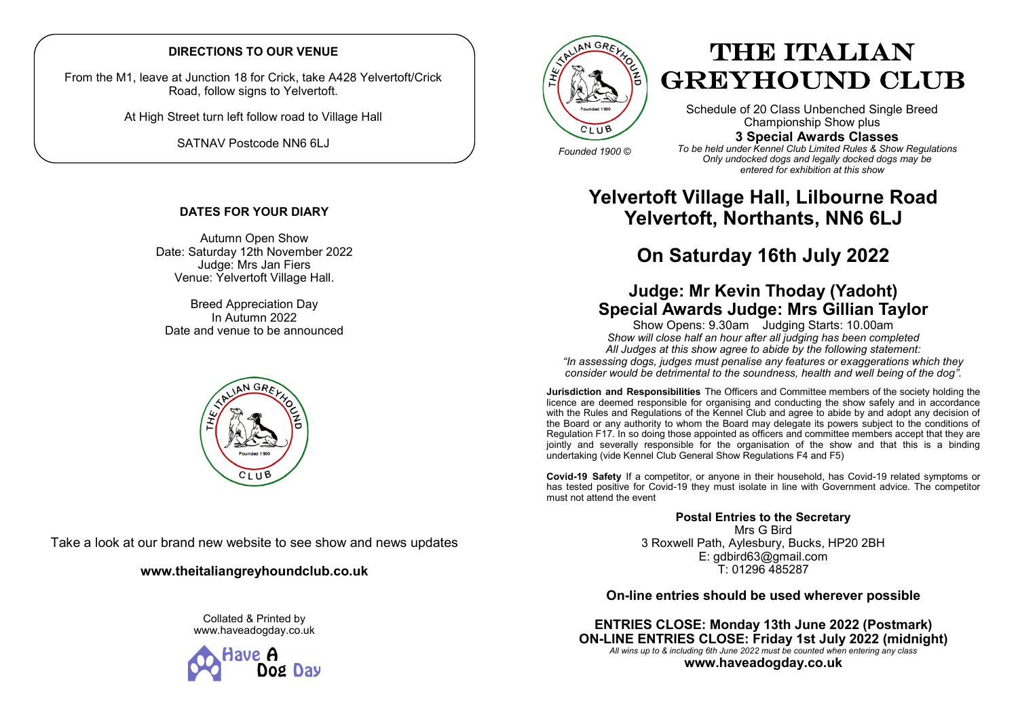## **DIRECTIONS TO OUR VENUE**

From the M1, leave at Junction 18 for Crick, take A428 Yelvertoft/Crick Road, follow signs to Yelvertoft.

At High Street turn left follow road to Village Hall

SATNAV Postcode NN6 6LJ

## **DATES FOR YOUR DIARY**

Autumn Open Show Date: Saturday 12th November 2022 Judge: Mrs Jan Fiers Venue: Yelvertoft Village Hall.

Breed Appreciation Day In Autumn 2022 Date and venue to be announced



Take a look at our brand new website to see show and news updates

## **www.theitaliangreyhoundclub.co.uk**

Collated & Printed by www.haveadogday.co.uk





# THE ITALIAN GREYHOUND CLUB

Schedule of 20 Class Unbenched Single Breed Championship Show plus **3 Special Awards Classes**

*Founded 1900 ©*

*To be held under Kennel Club Limited Rules & Show Regulations Only undocked dogs and legally docked dogs may be entered for exhibition at this show*

## **Yelvertoft Village Hall, Lilbourne Road Yelvertoft, Northants, NN6 6LJ**

## **On Saturday 16th July 2022**

## **Judge: Mr Kevin Thoday (Yadoht) Special Awards Judge: Mrs Gillian Taylor**

Show Opens: 9.30am Judging Starts: 10.00am *Show will close half an hour after all judging has been completed All Judges at this show agree to abide by the following statement: "In assessing dogs, judges must penalise any features or exaggerations which they consider would be detrimental to the soundness, health and well being of the dog".*

**Jurisdiction and Responsibilities** The Officers and Committee members of the society holding the licence are deemed responsible for organising and conducting the show safely and in accordance with the Rules and Regulations of the Kennel Club and agree to abide by and adopt any decision of the Board or any authority to whom the Board may delegate its powers subject to the conditions of Regulation F17. In so doing those appointed as officers and committee members accept that they are jointly and severally responsible for the organisation of the show and that this is a binding undertaking (vide Kennel Club General Show Regulations F4 and F5)

**Covid-19 Safety** If a competitor, or anyone in their household, has Covid-19 related symptoms or has tested positive for Covid-19 they must isolate in line with Government advice. The competitor must not attend the event

> **Postal Entries to the Secretary** Mrs G Bird 3 Roxwell Path, Aylesbury, Bucks, HP20 2BH E: gdbird63@gmail.com T: 01296 485287

## **On-line entries should be used wherever possible**

**ENTRIES CLOSE: Monday 13th June 2022 (Postmark) ON-LINE ENTRIES CLOSE: Friday 1st July 2022 (midnight)** *All wins up to & including 6th June 2022 must be counted when entering any class* **www.haveadogday.co.uk**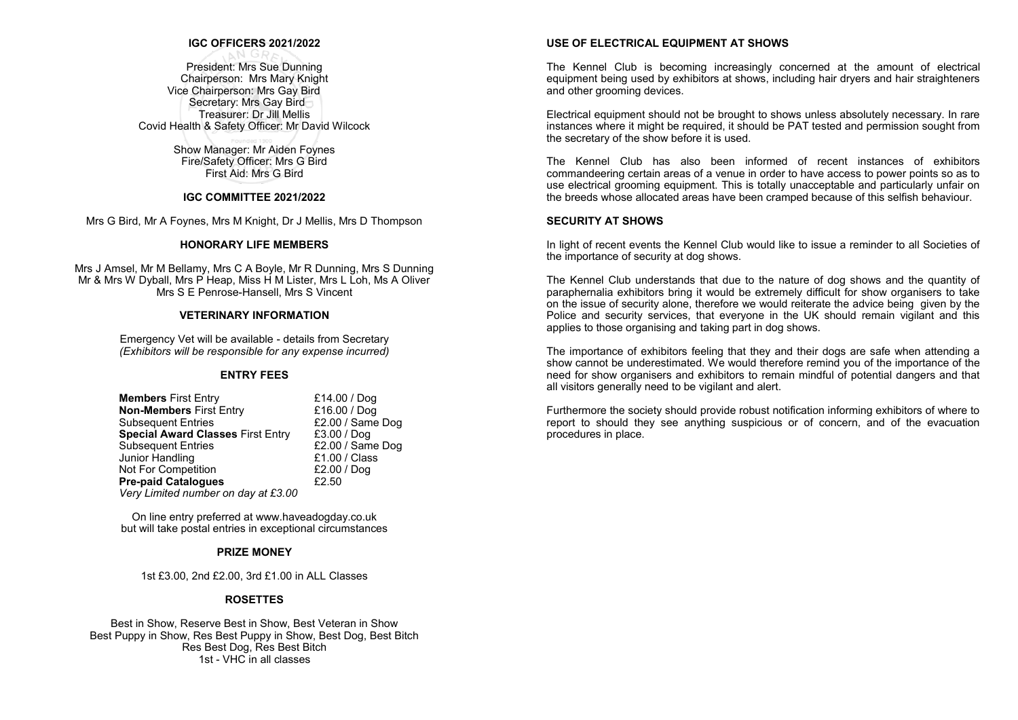## **IGC OFFICERS 2021/2022**

President: Mrs Sue Dunning Chairperson: Mrs Mary Knight Vice Chairperson: Mrs Gay Bird Secretary: Mrs Gay Bird Treasurer: Dr Jill Mellis Covid Health & Safety Officer: Mr David Wilcock

## Show Manager: Mr Aiden Foynes

Fire/Safety Officer: Mrs G Bird First Aid: Mrs G Bird

## **IGC COMMITTEE 2021/2022**

Mrs G Bird, Mr A Foynes, Mrs M Knight, Dr J Mellis, Mrs D Thompson

#### **HONORARY LIFE MEMBERS**

Mrs J Amsel, Mr M Bellamy, Mrs C A Boyle, Mr R Dunning, Mrs S Dunning Mr & Mrs W Dyball, Mrs P Heap, Miss H M Lister, Mrs L Loh, Ms A Oliver Mrs S E Penrose-Hansell, Mrs S Vincent

#### **VETERINARY INFORMATION**

Emergency Vet will be available - details from Secretary *(Exhibitors will be responsible for any expense incurred)*

#### **ENTRY FEES**

| £14.00 / Dog     |
|------------------|
| £16.00 / Dog     |
| £2.00 / Same Dog |
| £3.00 / Dog      |
| £2.00 / Same Dog |
| £1.00 / Class    |
| £2.00 / Dog      |
| £2.50            |
|                  |
|                  |

On line entry preferred at www.haveadogday.co.uk but will take postal entries in exceptional circumstances

#### **PRIZE MONEY**

1st £3.00, 2nd £2.00, 3rd £1.00 in ALL Classes

#### **ROSETTES**

Best in Show, Reserve Best in Show, Best Veteran in Show Best Puppy in Show, Res Best Puppy in Show, Best Dog, Best Bitch Res Best Dog, Res Best Bitch 1st - VHC in all classes

#### **USE OF ELECTRICAL EQUIPMENT AT SHOWS**

The Kennel Club is becoming increasingly concerned at the amount of electrical equipment being used by exhibitors at shows, including hair dryers and hair straighteners and other grooming devices.

Electrical equipment should not be brought to shows unless absolutely necessary. In rare instances where it might be required, it should be PAT tested and permission sought from the secretary of the show before it is used.

The Kennel Club has also been informed of recent instances of exhibitors commandeering certain areas of a venue in order to have access to power points so as to use electrical grooming equipment. This is totally unacceptable and particularly unfair on the breeds whose allocated areas have been cramped because of this selfish behaviour.

#### **SECURITY AT SHOWS**

In light of recent events the Kennel Club would like to issue a reminder to all Societies of the importance of security at dog shows.

The Kennel Club understands that due to the nature of dog shows and the quantity of paraphernalia exhibitors bring it would be extremely difficult for show organisers to take on the issue of security alone, therefore we would reiterate the advice being given by the Police and security services, that everyone in the UK should remain vigilant and this applies to those organising and taking part in dog shows.

The importance of exhibitors feeling that they and their dogs are safe when attending a show cannot be underestimated. We would therefore remind you of the importance of the need for show organisers and exhibitors to remain mindful of potential dangers and that all visitors generally need to be vigilant and alert.

Furthermore the society should provide robust notification informing exhibitors of where to report to should they see anything suspicious or of concern, and of the evacuation procedures in place.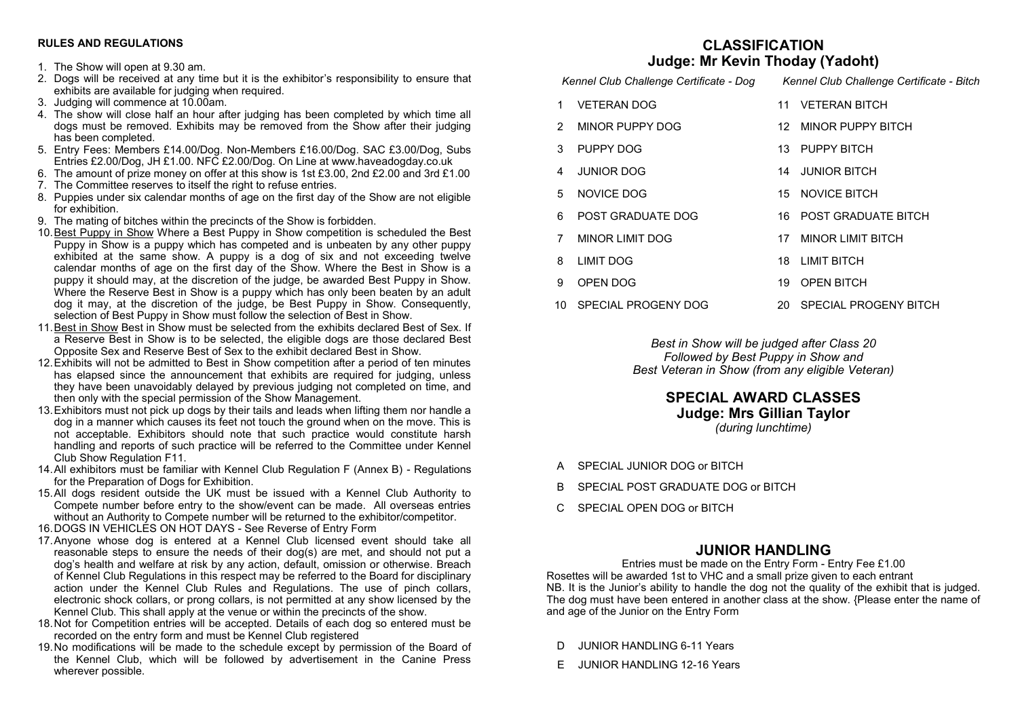## **RULES AND REGULATIONS**

- 1. The Show will open at 9.30 am.
- 2. Dogs will be received at any time but it is the exhibitor's responsibility to ensure that exhibits are available for judging when required.
- 3. Judging will commence at 10.00am.
- 4. The show will close half an hour after judging has been completed by which time all dogs must be removed. Exhibits may be removed from the Show after their judging has been completed.
- 5. Entry Fees: Members £14.00/Dog. Non-Members £16.00/Dog. SAC £3.00/Dog, Subs Entries £2.00/Dog, JH £1.00. NFC £2.00/Dog. On Line at www.haveadogday.co.uk
- 6. The amount of prize money on offer at this show is 1st £3.00, 2nd £2.00 and 3rd £1.00
- 7. The Committee reserves to itself the right to refuse entries.
- 8. Puppies under six calendar months of age on the first day of the Show are not eligible for exhibition.
- 9. The mating of bitches within the precincts of the Show is forbidden.
- 10.Best Puppy in Show Where a Best Puppy in Show competition is scheduled the Best Puppy in Show is a puppy which has competed and is unbeaten by any other puppy exhibited at the same show. A puppy is a dog of six and not exceeding twelve calendar months of age on the first day of the Show. Where the Best in Show is a puppy it should may, at the discretion of the judge, be awarded Best Puppy in Show. Where the Reserve Best in Show is a puppy which has only been beaten by an adult dog it may, at the discretion of the judge, be Best Puppy in Show. Consequently, selection of Best Puppy in Show must follow the selection of Best in Show.
- 11.Best in Show Best in Show must be selected from the exhibits declared Best of Sex. If a Reserve Best in Show is to be selected, the eligible dogs are those declared Best Opposite Sex and Reserve Best of Sex to the exhibit declared Best in Show.
- 12.Exhibits will not be admitted to Best in Show competition after a period of ten minutes has elapsed since the announcement that exhibits are required for judging, unless they have been unavoidably delayed by previous judging not completed on time, and then only with the special permission of the Show Management.
- 13.Exhibitors must not pick up dogs by their tails and leads when lifting them nor handle a dog in a manner which causes its feet not touch the ground when on the move. This is not acceptable. Exhibitors should note that such practice would constitute harsh handling and reports of such practice will be referred to the Committee under Kennel Club Show Regulation F11.
- 14.All exhibitors must be familiar with Kennel Club Regulation F (Annex B) Regulations for the Preparation of Dogs for Exhibition.
- 15.All dogs resident outside the UK must be issued with a Kennel Club Authority to Compete number before entry to the show/event can be made. All overseas entries without an Authority to Compete number will be returned to the exhibitor/competitor.
- 16.DOGS IN VEHICLES ON HOT DAYS See Reverse of Entry Form
- 17.Anyone whose dog is entered at a Kennel Club licensed event should take all reasonable steps to ensure the needs of their dog(s) are met, and should not put a dog's health and welfare at risk by any action, default, omission or otherwise. Breach of Kennel Club Regulations in this respect may be referred to the Board for disciplinary action under the Kennel Club Rules and Regulations. The use of pinch collars, electronic shock collars, or prong collars, is not permitted at any show licensed by the Kennel Club. This shall apply at the venue or within the precincts of the show.
- 18.Not for Competition entries will be accepted. Details of each dog so entered must be recorded on the entry form and must be Kennel Club registered
- 19.No modifications will be made to the schedule except by permission of the Board of the Kennel Club, which will be followed by advertisement in the Canine Press wherever possible.

## **CLASSIFICATION Judge: Mr Kevin Thoday (Yadoht)**

| Judge. Mil Revill Thouay (Taubilt) |                                         |                                           |                          |  |  |  |
|------------------------------------|-----------------------------------------|-------------------------------------------|--------------------------|--|--|--|
|                                    | Kennel Club Challenge Certificate - Dog | Kennel Club Challenge Certificate - Bitch |                          |  |  |  |
| 1                                  | <b>VETERAN DOG</b>                      | 11                                        | <b>VETERAN BITCH</b>     |  |  |  |
| 2                                  | MINOR PUPPY DOG                         |                                           | 12 MINOR PUPPY BITCH     |  |  |  |
| 3                                  | PUPPY DOG                               |                                           | 13 PUPPY BITCH           |  |  |  |
| 4                                  | <b>JUNIOR DOG</b>                       |                                           | 14 JUNIOR BITCH          |  |  |  |
| 5.                                 | NOVICE DOG                              |                                           | 15 NOVICE BITCH          |  |  |  |
| 6                                  | POST GRADUATE DOG                       |                                           | 16 POST GRADUATE BITCH   |  |  |  |
| 7                                  | MINOR LIMIT DOG                         | 17                                        | MINOR LIMIT BITCH        |  |  |  |
| 8                                  | LIMIT DOG                               |                                           | 18 LIMIT BITCH           |  |  |  |
| 9                                  | OPEN DOG                                | 19                                        | <b>OPEN BITCH</b>        |  |  |  |
|                                    | 10 SPECIAL PROGENY DOG                  |                                           | 20 SPECIAL PROGENY BITCH |  |  |  |

*Best in Show will be judged after Class 20 Followed by Best Puppy in Show and Best Veteran in Show (from any eligible Veteran)*

## **SPECIAL AWARD CLASSES Judge: Mrs Gillian Taylor** *(during lunchtime)*

- A SPECIAL JUNIOR DOG or BITCH
- B SPECIAL POST GRADUATE DOG or BITCH
- C SPECIAL OPEN DOG or BITCH

## **JUNIOR HANDLING**

Entries must be made on the Entry Form - Entry Fee £1.00 Rosettes will be awarded 1st to VHC and a small prize given to each entrant NB. It is the Junior's ability to handle the dog not the quality of the exhibit that is judged. The dog must have been entered in another class at the show. {Please enter the name of and age of the Junior on the Entry Form

- D JUNIOR HANDLING 6-11 Years
- E JUNIOR HANDLING 12-16 Years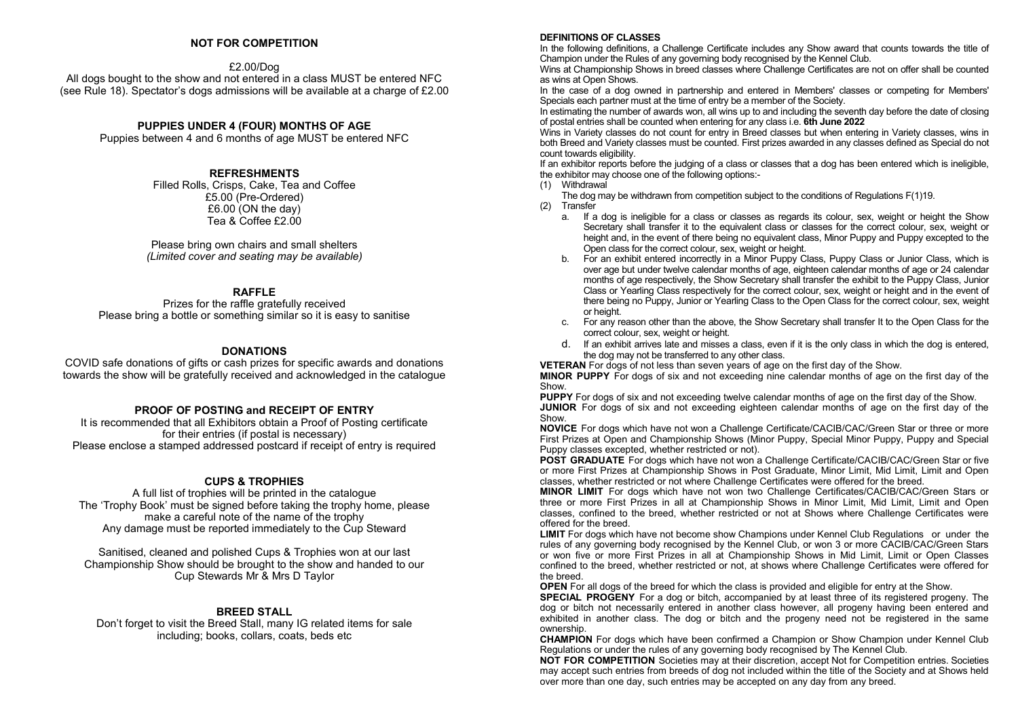## **NOT FOR COMPETITION**

## £2.00/Dog

All dogs bought to the show and not entered in a class MUST be entered NFC (see Rule 18). Spectator's dogs admissions will be available at a charge of £2.00

## **PUPPIES UNDER 4 (FOUR) MONTHS OF AGE**

Puppies between 4 and 6 months of age MUST be entered NFC

### **REFRESHMENTS**

Filled Rolls, Crisps, Cake, Tea and Coffee £5.00 (Pre-Ordered) £6.00 (ON the day) Tea & Coffee £2.00

Please bring own chairs and small shelters *(Limited cover and seating may be available)*

## **RAFFLE**

Prizes for the raffle gratefully received Please bring a bottle or something similar so it is easy to sanitise

### **DONATIONS**

COVID safe donations of gifts or cash prizes for specific awards and donations towards the show will be gratefully received and acknowledged in the catalogue

## **PROOF OF POSTING and RECEIPT OF ENTRY**

It is recommended that all Exhibitors obtain a Proof of Posting certificate for their entries (if postal is necessary) Please enclose a stamped addressed postcard if receipt of entry is required

## **CUPS & TROPHIES**

A full list of trophies will be printed in the catalogue The 'Trophy Book' must be signed before taking the trophy home, please make a careful note of the name of the trophy Any damage must be reported immediately to the Cup Steward

Sanitised, cleaned and polished Cups & Trophies won at our last Championship Show should be brought to the show and handed to our Cup Stewards Mr & Mrs D Taylor

## **BREED STALL**

Don't forget to visit the Breed Stall, many IG related items for sale including; books, collars, coats, beds etc

#### **DEFINITIONS OF CLASSES**

In the following definitions, a Challenge Certificate includes any Show award that counts towards the title of Champion under the Rules of any governing body recognised by the Kennel Club.

Wins at Championship Shows in breed classes where Challenge Certificates are not on offer shall be counted as wins at Open Shows.

In the case of a dog owned in partnership and entered in Members' classes or competing for Members' Specials each partner must at the time of entry be a member of the Society.

In estimating the number of awards won, all wins up to and including the seventh day before the date of closing of postal entries shall be counted when entering for any class i.e. **6th June 2022**

Wins in Variety classes do not count for entry in Breed classes but when entering in Variety classes, wins in both Breed and Variety classes must be counted. First prizes awarded in any classes defined as Special do not count towards eligibility.

If an exhibitor reports before the judging of a class or classes that a dog has been entered which is ineligible, the exhibitor may choose one of the following options:-

(1) Withdrawal

The dog may be withdrawn from competition subject to the conditions of Regulations F(1)19.

- (2) Transfer
	- a. If a dog is ineligible for a class or classes as regards its colour, sex, weight or height the Show Secretary shall transfer it to the equivalent class or classes for the correct colour, sex, weight or height and, in the event of there being no equivalent class, Minor Puppy and Puppy excepted to the Open class for the correct colour, sex, weight or height.
	- b. For an exhibit entered incorrectly in a Minor Puppy Class, Puppy Class or Junior Class, which is over age but under twelve calendar months of age, eighteen calendar months of age or 24 calendar months of age respectively, the Show Secretary shall transfer the exhibit to the Puppy Class, Junior Class or Yearling Class respectively for the correct colour, sex, weight or height and in the event of there being no Puppy, Junior or Yearling Class to the Open Class for the correct colour, sex, weight or height.
	- c. For any reason other than the above, the Show Secretary shall transfer It to the Open Class for the correct colour, sex, weight or height.
	- d. If an exhibit arrives late and misses a class, even if it is the only class in which the dog is entered, the dog may not be transferred to any other class.

**VETERAN** For dogs of not less than seven years of age on the first day of the Show.

**MINOR PUPPY** For dogs of six and not exceeding nine calendar months of age on the first day of the **Show** 

**PUPPY** For dogs of six and not exceeding twelve calendar months of age on the first day of the Show. **JUNIOR** For dogs of six and not exceeding eighteen calendar months of age on the first day of the Show.

**NOVICE** For dogs which have not won a Challenge Certificate/CACIB/CAC/Green Star or three or more First Prizes at Open and Championship Shows (Minor Puppy, Special Minor Puppy, Puppy and Special Puppy classes excepted, whether restricted or not).

**POST GRADUATE** For dogs which have not won a Challenge Certificate/CACIB/CAC/Green Star or five or more First Prizes at Championship Shows in Post Graduate, Minor Limit, Mid Limit, Limit and Open classes, whether restricted or not where Challenge Certificates were offered for the breed.

**MINOR LIMIT** For dogs which have not won two Challenge Certificates/CACIB/CAC/Green Stars or three or more First Prizes in all at Championship Shows in Minor Limit, Mid Limit, Limit and Open classes, confined to the breed, whether restricted or not at Shows where Challenge Certificates were offered for the breed.

**LIMIT** For dogs which have not become show Champions under Kennel Club Regulations or under the rules of any governing body recognised by the Kennel Club, or won 3 or more CACIB/CAC/Green Stars or won five or more First Prizes in all at Championship Shows in Mid Limit, Limit or Open Classes confined to the breed, whether restricted or not, at shows where Challenge Certificates were offered for the breed.

**OPEN** For all dogs of the breed for which the class is provided and eligible for entry at the Show.

**SPECIAL PROGENY** For a dog or bitch, accompanied by at least three of its registered progeny. The dog or bitch not necessarily entered in another class however, all progeny having been entered and exhibited in another class. The dog or bitch and the progeny need not be registered in the same ownership.

**CHAMPION** For dogs which have been confirmed a Champion or Show Champion under Kennel Club Regulations or under the rules of any governing body recognised by The Kennel Club.

**NOT FOR COMPETITION** Societies may at their discretion, accept Not for Competition entries. Societies may accept such entries from breeds of dog not included within the title of the Society and at Shows held over more than one day, such entries may be accepted on any day from any breed.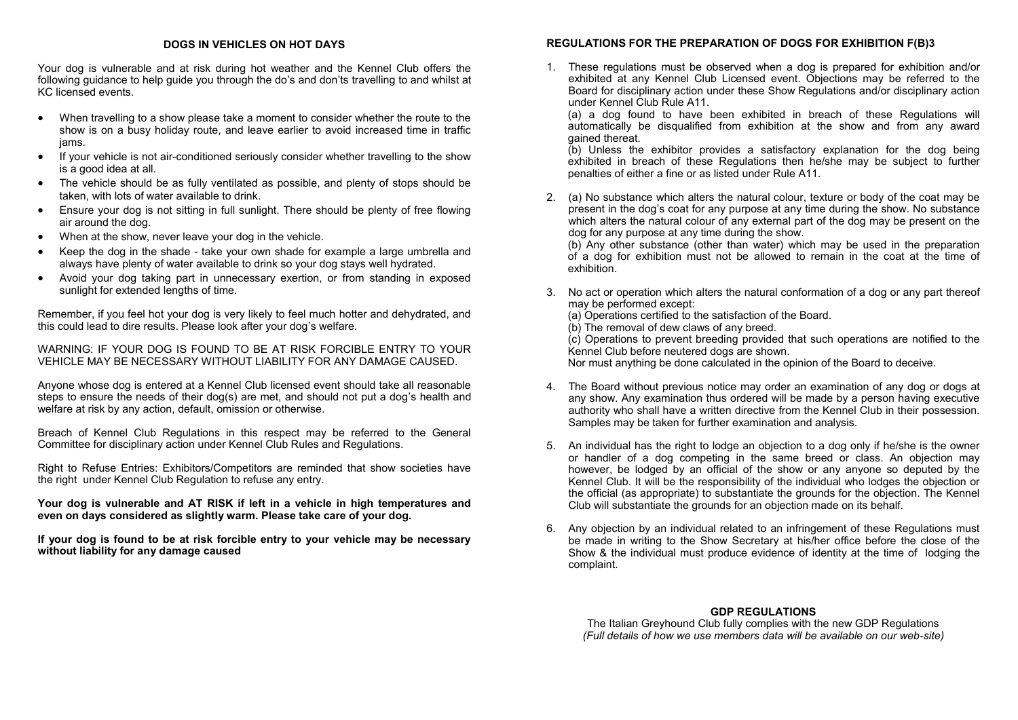## **DOGS IN VEHICLES ON HOT DAYS**

Your dog is vulnerable and at risk during hot weather and the Kennel Club offers the following guidance to help guide you through the do's and don'ts travelling to and whilst at KC licensed events.

- When travelling to a show please take a moment to consider whether the route to the show is on a busy holiday route, and leave earlier to avoid increased time in traffic jams.
- If your vehicle is not air-conditioned seriously consider whether travelling to the show is a good idea at all.
- The vehicle should be as fully ventilated as possible, and plenty of stops should be taken, with lots of water available to drink.
- Ensure your dog is not sitting in full sunlight. There should be plenty of free flowing air around the dog.
- When at the show, never leave your dog in the vehicle.
- Keep the dog in the shade take your own shade for example a large umbrella and always have plenty of water available to drink so your dog stays well hydrated.
- Avoid your dog taking part in unnecessary exertion, or from standing in exposed sunlight for extended lengths of time.

Remember, if you feel hot your dog is very likely to feel much hotter and dehydrated, and this could lead to dire results. Please look after your dog's welfare.

WARNING: IF YOUR DOG IS FOUND TO BE AT RISK FORCIBLE ENTRY TO YOUR VEHICLE MAY BE NECESSARY WITHOUT LIABILITY FOR ANY DAMAGE CAUSED.

Anyone whose dog is entered at a Kennel Club licensed event should take all reasonable steps to ensure the needs of their dog(s) are met, and should not put a dog's health and welfare at risk by any action, default, omission or otherwise.

Breach of Kennel Club Regulations in this respect may be referred to the General Committee for disciplinary action under Kennel Club Rules and Regulations.

Right to Refuse Entries: Exhibitors/Competitors are reminded that show societies have the right under Kennel Club Regulation to refuse any entry.

**Your dog is vulnerable and AT RISK if left in a vehicle in high temperatures and even on days considered as slightly warm. Please take care of your dog.**

**If your dog is found to be at risk forcible entry to your vehicle may be necessary without liability for any damage caused**

## **REGULATIONS FOR THE PREPARATION OF DOGS FOR EXHIBITION F(B)3**

1. These regulations must be observed when a dog is prepared for exhibition and/or exhibited at any Kennel Club Licensed event. Objections may be referred to the Board for disciplinary action under these Show Regulations and/or disciplinary action under Kennel Club Rule A11.

(a) a dog found to have been exhibited in breach of these Regulations will automatically be disqualified from exhibition at the show and from any award gained thereat.

(b) Unless the exhibitor provides a satisfactory explanation for the dog being exhibited in breach of these Regulations then he/she may be subject to further penalties of either a fine or as listed under Rule A11.

2. (a) No substance which alters the natural colour, texture or body of the coat may be present in the dog's coat for any purpose at any time during the show. No substance which alters the natural colour of any external part of the dog may be present on the dog for any purpose at any time during the show.

(b) Any other substance (other than water) which may be used in the preparation of a dog for exhibition must not be allowed to remain in the coat at the time of exhibition.

- 3. No act or operation which alters the natural conformation of a dog or any part thereof may be performed except:
	- (a) Operations certified to the satisfaction of the Board.
	- (b) The removal of dew claws of any breed.

(c) Operations to prevent breeding provided that such operations are notified to the Kennel Club before neutered dogs are shown.

Nor must anything be done calculated in the opinion of the Board to deceive.

- 4. The Board without previous notice may order an examination of any dog or dogs at any show. Any examination thus ordered will be made by a person having executive authority who shall have a written directive from the Kennel Club in their possession. Samples may be taken for further examination and analysis.
- 5. An individual has the right to lodge an objection to a dog only if he/she is the owner or handler of a dog competing in the same breed or class. An objection may however, be lodged by an official of the show or any anyone so deputed by the Kennel Club. It will be the responsibility of the individual who lodges the objection or the official (as appropriate) to substantiate the grounds for the objection. The Kennel Club will substantiate the grounds for an objection made on its behalf.
- 6. Any objection by an individual related to an infringement of these Regulations must be made in writing to the Show Secretary at his/her office before the close of the Show & the individual must produce evidence of identity at the time of lodging the complaint.

## **GDP REGULATIONS**

The Italian Greyhound Club fully complies with the new GDP Regulations *(Full details of how we use members data will be available on our web-site)*